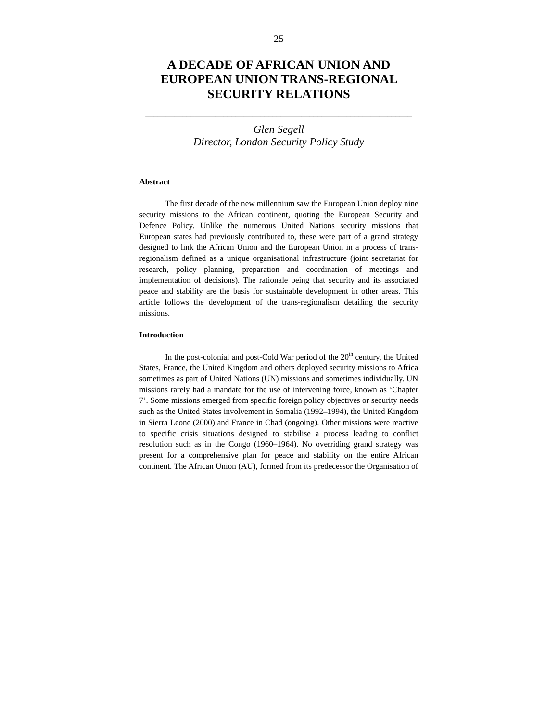# *Glen Segell Director, London Security Policy Study*

\_\_\_\_\_\_\_\_\_\_\_\_\_\_\_\_\_\_\_\_\_\_\_\_\_\_\_\_\_\_\_\_\_\_\_\_\_\_\_\_\_\_\_\_\_\_\_\_\_\_\_\_\_\_\_\_\_\_\_\_\_\_\_\_\_

## **Abstract**

The first decade of the new millennium saw the European Union deploy nine security missions to the African continent, quoting the European Security and Defence Policy. Unlike the numerous United Nations security missions that European states had previously contributed to, these were part of a grand strategy designed to link the African Union and the European Union in a process of transregionalism defined as a unique organisational infrastructure (joint secretariat for research, policy planning, preparation and coordination of meetings and implementation of decisions). The rationale being that security and its associated peace and stability are the basis for sustainable development in other areas. This article follows the development of the trans-regionalism detailing the security missions.

### **Introduction**

In the post-colonial and post-Cold War period of the  $20<sup>th</sup>$  century, the United States, France, the United Kingdom and others deployed security missions to Africa sometimes as part of United Nations (UN) missions and sometimes individually. UN missions rarely had a mandate for the use of intervening force, known as 'Chapter 7'. Some missions emerged from specific foreign policy objectives or security needs such as the United States involvement in Somalia (1992–1994), the United Kingdom in Sierra Leone (2000) and France in Chad (ongoing). Other missions were reactive to specific crisis situations designed to stabilise a process leading to conflict resolution such as in the Congo (1960–1964). No overriding grand strategy was present for a comprehensive plan for peace and stability on the entire African continent. The African Union (AU), formed from its predecessor the Organisation of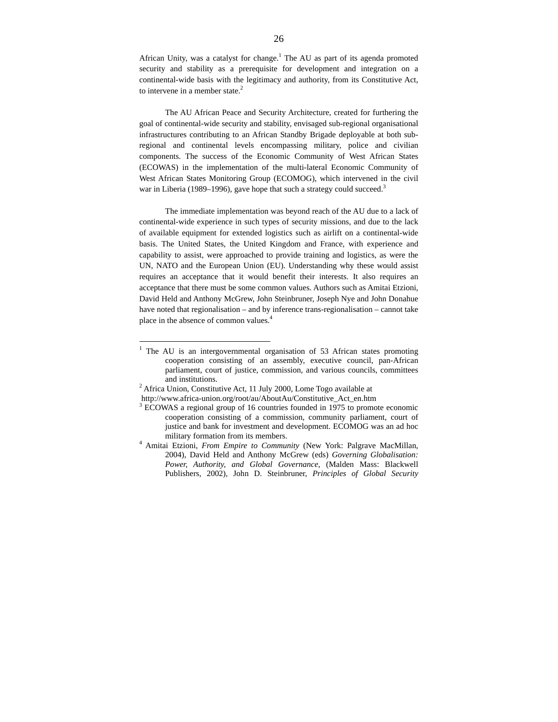African Unity, was a catalyst for change.<sup>1</sup> The AU as part of its agenda promoted security and stability as a prerequisite for development and integration on a continental-wide basis with the legitimacy and authority, from its Constitutive Act, to intervene in a member state.<sup>2</sup>

The AU African Peace and Security Architecture, created for furthering the goal of continental-wide security and stability, envisaged sub-regional organisational infrastructures contributing to an African Standby Brigade deployable at both subregional and continental levels encompassing military, police and civilian components. The success of the Economic Community of West African States (ECOWAS) in the implementation of the multi-lateral Economic Community of West African States Monitoring Group (ECOMOG), which intervened in the civil war in Liberia (1989–1996), gave hope that such a strategy could succeed.<sup>3</sup>

The immediate implementation was beyond reach of the AU due to a lack of continental-wide experience in such types of security missions, and due to the lack of available equipment for extended logistics such as airlift on a continental-wide basis. The United States, the United Kingdom and France, with experience and capability to assist, were approached to provide training and logistics, as were the UN, NATO and the European Union (EU). Understanding why these would assist requires an acceptance that it would benefit their interests. It also requires an acceptance that there must be some common values. Authors such as Amitai Etzioni, David Held and Anthony McGrew, John Steinbruner, Joseph Nye and John Donahue have noted that regionalisation – and by inference trans-regionalisation – cannot take place in the absence of common values.<sup>4</sup>

<sup>&</sup>lt;sup>1</sup> The AU is an intergovernmental organisation of 53 African states promoting cooperation consisting of an assembly, executive council, pan-African parliament, court of justice, commission, and various councils, committees and institutions.

<sup>&</sup>lt;sup>2</sup> Africa Union, Constitutive Act, 11 July 2000, Lome Togo available at

http://www.africa-union.org/root/au/AboutAu/Constitutive\_Act\_en.htm

<sup>&</sup>lt;sup>3</sup> ECOWAS a regional group of 16 countries founded in 1975 to promote economic cooperation consisting of a commission, community parliament, court of justice and bank for investment and development. ECOMOG was an ad hoc military formation from its members.

<sup>4</sup> Amitai Etzioni, *From Empire to Community* (New York: Palgrave MacMillan, 2004), David Held and Anthony McGrew (eds) *Governing Globalisation: Power, Authority, and Global Governance*, (Malden Mass: Blackwell Publishers, 2002), John D. Steinbruner, *Principles of Global Security*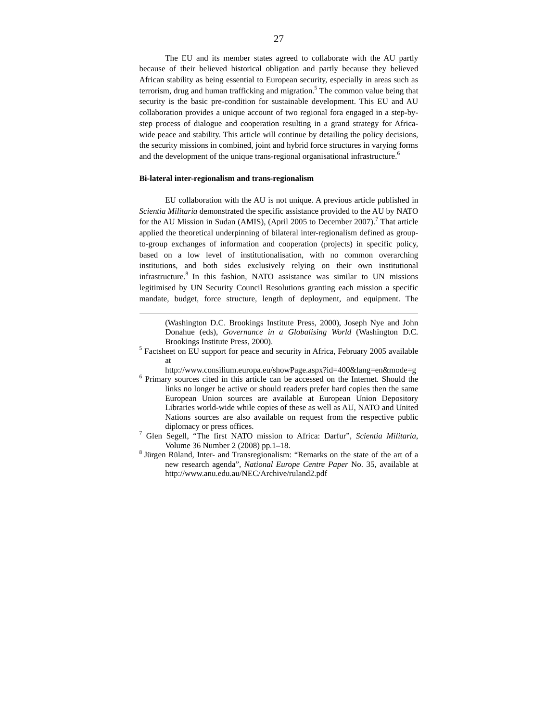The EU and its member states agreed to collaborate with the AU partly because of their believed historical obligation and partly because they believed African stability as being essential to European security, especially in areas such as terrorism, drug and human trafficking and migration. 5 The common value being that security is the basic pre-condition for sustainable development. This EU and AU collaboration provides a unique account of two regional fora engaged in a step-bystep process of dialogue and cooperation resulting in a grand strategy for Africawide peace and stability. This article will continue by detailing the policy decisions, the security missions in combined, joint and hybrid force structures in varying forms and the development of the unique trans-regional organisational infrastructure.<sup>6</sup>

#### **Bi-lateral inter-regionalism and trans-regionalism**

 $\overline{a}$ 

EU collaboration with the AU is not unique. A previous article published in *Scientia Militaria* demonstrated the specific assistance provided to the AU by NATO for the AU Mission in Sudan (AMIS), (April 2005 to December 2007).<sup>7</sup> That article applied the theoretical underpinning of bilateral inter-regionalism defined as groupto-group exchanges of information and cooperation (projects) in specific policy, based on a low level of institutionalisation, with no common overarching institutions, and both sides exclusively relying on their own institutional infrastructure. $8$  In this fashion, NATO assistance was similar to UN missions legitimised by UN Security Council Resolutions granting each mission a specific mandate, budget, force structure, length of deployment, and equipment. The

(Washington D.C. Brookings Institute Press, 2000), Joseph Nye and John Donahue (eds), *Governance in a Globalising World* (Washington D.C. Brookings Institute Press, 2000).

<sup>5</sup> Factsheet on EU support for peace and security in Africa, February 2005 available at

http://www.consilium.europa.eu/showPage.aspx?id=400&lang=en&mode=g

6 Primary sources cited in this article can be accessed on the Internet. Should the links no longer be active or should readers prefer hard copies then the same European Union sources are available at European Union Depository Libraries world-wide while copies of these as well as AU, NATO and United Nations sources are also available on request from the respective public diplomacy or press offices.

- 7 Glen Segell, "The first NATO mission to Africa: Darfur", *Scientia Militaria*, Volume 36 Number 2 (2008) pp.1–18.
- $8$  Jürgen Rüland, Inter- and Transregionalism: "Remarks on the state of the art of a new research agenda", *National Europe Centre Paper* No. 35, available at http://www.anu.edu.au/NEC/Archive/ruland2.pdf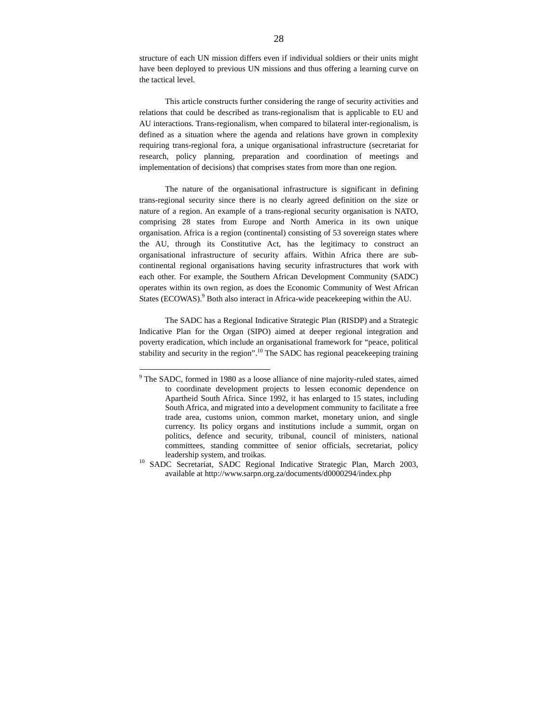structure of each UN mission differs even if individual soldiers or their units might have been deployed to previous UN missions and thus offering a learning curve on the tactical level.

This article constructs further considering the range of security activities and relations that could be described as trans-regionalism that is applicable to EU and AU interactions. Trans-regionalism, when compared to bilateral inter-regionalism, is defined as a situation where the agenda and relations have grown in complexity requiring trans-regional fora, a unique organisational infrastructure (secretariat for research, policy planning, preparation and coordination of meetings and implementation of decisions) that comprises states from more than one region.

The nature of the organisational infrastructure is significant in defining trans-regional security since there is no clearly agreed definition on the size or nature of a region. An example of a trans-regional security organisation is NATO, comprising 28 states from Europe and North America in its own unique organisation. Africa is a region (continental) consisting of 53 sovereign states where the AU, through its Constitutive Act, has the legitimacy to construct an organisational infrastructure of security affairs. Within Africa there are subcontinental regional organisations having security infrastructures that work with each other. For example, the Southern African Development Community (SADC) operates within its own region, as does the Economic Community of West African States (ECOWAS).<sup>9</sup> Both also interact in Africa-wide peacekeeping within the AU.

The SADC has a Regional Indicative Strategic Plan (RISDP) and a Strategic Indicative Plan for the Organ (SIPO) aimed at deeper regional integration and poverty eradication, which include an organisational framework for "peace, political stability and security in the region".<sup>10</sup> The SADC has regional peacekeeping training

<sup>&</sup>lt;sup>9</sup> The SADC, formed in 1980 as a loose alliance of nine majority-ruled states, aimed to coordinate development projects to lessen economic dependence on Apartheid South Africa. Since 1992, it has enlarged to 15 states, including South Africa, and migrated into a development community to facilitate a free trade area, customs union, common market, monetary union, and single currency. Its policy organs and institutions include a summit, organ on politics, defence and security, tribunal, council of ministers, national committees, standing committee of senior officials, secretariat, policy leadership system, and troikas.

<sup>&</sup>lt;sup>10</sup> SADC Secretariat, SADC Regional Indicative Strategic Plan, March 2003, available at http://www.sarpn.org.za/documents/d0000294/index.php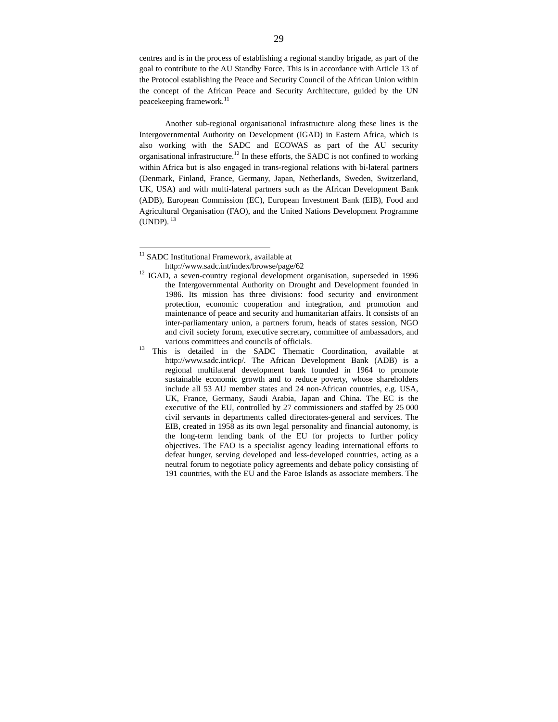centres and is in the process of establishing a regional standby brigade, as part of the goal to contribute to the AU Standby Force. This is in accordance with Article 13 of the Protocol establishing the Peace and Security Council of the African Union within the concept of the African Peace and Security Architecture, guided by the UN peacekeeping framework.<sup>11</sup>

Another sub-regional organisational infrastructure along these lines is the Intergovernmental Authority on Development (IGAD) in Eastern Africa, which is also working with the SADC and ECOWAS as part of the AU security organisational infrastructure.<sup>12</sup> In these efforts, the SADC is not confined to working within Africa but is also engaged in trans-regional relations with bi-lateral partners (Denmark, Finland, France, Germany, Japan, Netherlands, Sweden, Switzerland, UK, USA) and with multi-lateral partners such as the African Development Bank (ADB), European Commission (EC), European Investment Bank (EIB), Food and Agricultural Organisation (FAO), and the United Nations Development Programme  $(UNDP).$ <sup>13</sup>

<sup>&</sup>lt;sup>11</sup> SADC Institutional Framework, available at

http://www.sadc.int/index/browse/page/62

<sup>&</sup>lt;sup>12</sup> IGAD, a seven-country regional development organisation, superseded in 1996 the Intergovernmental Authority on Drought and Development founded in 1986. Its mission has three divisions: food security and environment protection, economic cooperation and integration, and promotion and maintenance of peace and security and humanitarian affairs. It consists of an inter-parliamentary union, a partners forum, heads of states session, NGO and civil society forum, executive secretary, committee of ambassadors, and various committees and councils of officials.

<sup>&</sup>lt;sup>13</sup> This is detailed in the SADC Thematic Coordination, available at http://www.sadc.int/icp/. The African Development Bank (ADB) is a regional multilateral development bank founded in 1964 to promote sustainable economic growth and to reduce poverty, whose shareholders include all 53 AU member states and 24 non-African countries, e.g. USA, UK, France, Germany, Saudi Arabia, Japan and China. The EC is the executive of the EU, controlled by 27 commissioners and staffed by 25 000 civil servants in departments called directorates-general and services. The EIB, created in 1958 as its own legal personality and financial autonomy, is the long-term lending bank of the EU for projects to further policy objectives. The FAO is a specialist agency leading international efforts to defeat hunger, serving developed and less-developed countries, acting as a neutral forum to negotiate policy agreements and debate policy consisting of 191 countries, with the EU and the Faroe Islands as associate members. The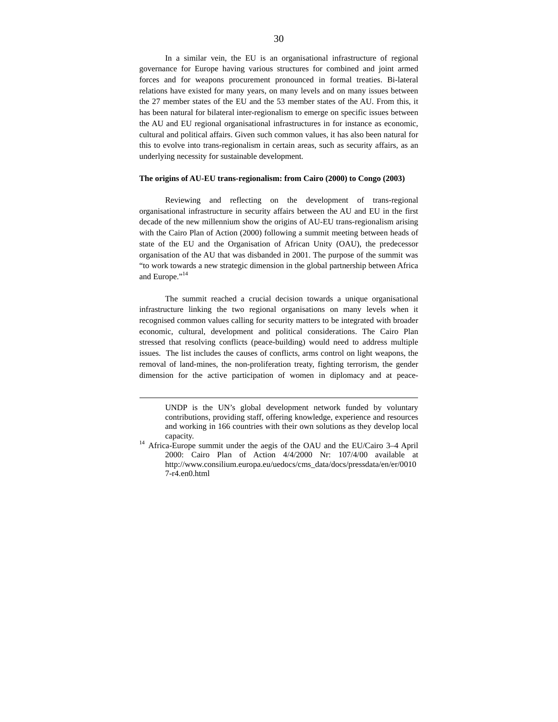In a similar vein, the EU is an organisational infrastructure of regional governance for Europe having various structures for combined and joint armed forces and for weapons procurement pronounced in formal treaties. Bi-lateral relations have existed for many years, on many levels and on many issues between the 27 member states of the EU and the 53 member states of the AU. From this, it has been natural for bilateral inter-regionalism to emerge on specific issues between the AU and EU regional organisational infrastructures in for instance as economic, cultural and political affairs. Given such common values, it has also been natural for this to evolve into trans-regionalism in certain areas, such as security affairs, as an underlying necessity for sustainable development.

#### **The origins of AU-EU trans-regionalism: from Cairo (2000) to Congo (2003)**

Reviewing and reflecting on the development of trans-regional organisational infrastructure in security affairs between the AU and EU in the first decade of the new millennium show the origins of AU-EU trans-regionalism arising with the Cairo Plan of Action (2000) following a summit meeting between heads of state of the EU and the Organisation of African Unity (OAU), the predecessor organisation of the AU that was disbanded in 2001. The purpose of the summit was "to work towards a new strategic dimension in the global partnership between Africa and Europe."<sup>14</sup>

The summit reached a crucial decision towards a unique organisational infrastructure linking the two regional organisations on many levels when it recognised common values calling for security matters to be integrated with broader economic, cultural, development and political considerations. The Cairo Plan stressed that resolving conflicts (peace-building) would need to address multiple issues. The list includes the causes of conflicts, arms control on light weapons, the removal of land-mines, the non-proliferation treaty, fighting terrorism, the gender dimension for the active participation of women in diplomacy and at peace-

UNDP is the UN's global development network funded by voluntary contributions, providing staff, offering knowledge, experience and resources and working in 166 countries with their own solutions as they develop local capacity.

<sup>&</sup>lt;sup>14</sup> Africa-Europe summit under the aegis of the OAU and the EU/Cairo 3-4 April 2000: Cairo Plan of Action 4/4/2000 Nr: 107/4/00 available at http://www.consilium.europa.eu/uedocs/cms\_data/docs/pressdata/en/er/0010 7-r4.en0.html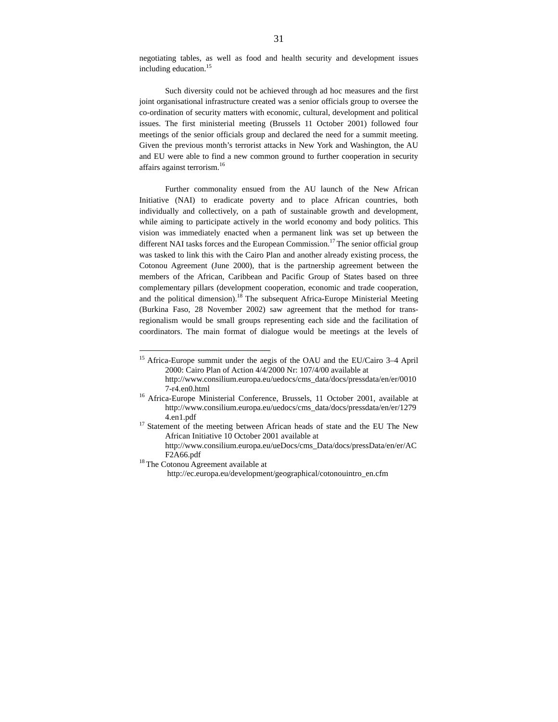negotiating tables, as well as food and health security and development issues including education.<sup>15</sup>

Such diversity could not be achieved through ad hoc measures and the first joint organisational infrastructure created was a senior officials group to oversee the co-ordination of security matters with economic, cultural, development and political issues. The first ministerial meeting (Brussels 11 October 2001) followed four meetings of the senior officials group and declared the need for a summit meeting. Given the previous month's terrorist attacks in New York and Washington, the AU and EU were able to find a new common ground to further cooperation in security affairs against terrorism.<sup>16</sup>

Further commonality ensued from the AU launch of the New African Initiative (NAI) to eradicate poverty and to place African countries, both individually and collectively, on a path of sustainable growth and development, while aiming to participate actively in the world economy and body politics. This vision was immediately enacted when a permanent link was set up between the different NAI tasks forces and the European Commission.<sup>17</sup> The senior official group was tasked to link this with the Cairo Plan and another already existing process, the Cotonou Agreement (June 2000), that is the partnership agreement between the members of the African, Caribbean and Pacific Group of States based on three complementary pillars (development cooperation, economic and trade cooperation, and the political dimension).<sup>18</sup> The subsequent Africa-Europe Ministerial Meeting (Burkina Faso, 28 November 2002) saw agreement that the method for transregionalism would be small groups representing each side and the facilitation of coordinators. The main format of dialogue would be meetings at the levels of

<sup>&</sup>lt;sup>15</sup> Africa-Europe summit under the aegis of the OAU and the EU/Cairo 3–4 April 2000: Cairo Plan of Action 4/4/2000 Nr: 107/4/00 available at http://www.consilium.europa.eu/uedocs/cms\_data/docs/pressdata/en/er/0010 7-r4.en0.html

<sup>&</sup>lt;sup>16</sup> Africa-Europe Ministerial Conference, Brussels, 11 October 2001, available at http://www.consilium.europa.eu/uedocs/cms\_data/docs/pressdata/en/er/1279 4.en1.pdf

 $17$  Statement of the meeting between African heads of state and the EU The New African Initiative 10 October 2001 available at

http://www.consilium.europa.eu/ueDocs/cms\_Data/docs/pressData/en/er/AC F2A66.pdf

<sup>&</sup>lt;sup>18</sup>The Cotonou Agreement available at

http://ec.europa.eu/development/geographical/cotonouintro\_en.cfm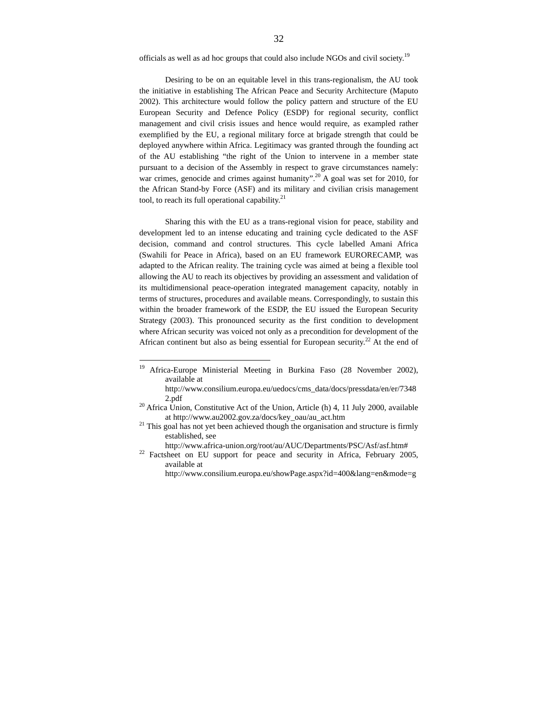officials as well as ad hoc groups that could also include NGOs and civil society.<sup>19</sup>

Desiring to be on an equitable level in this trans-regionalism, the AU took the initiative in establishing The African Peace and Security Architecture (Maputo 2002). This architecture would follow the policy pattern and structure of the EU European Security and Defence Policy (ESDP) for regional security, conflict management and civil crisis issues and hence would require, as exampled rather exemplified by the EU, a regional military force at brigade strength that could be deployed anywhere within Africa. Legitimacy was granted through the founding act of the AU establishing "the right of the Union to intervene in a member state pursuant to a decision of the Assembly in respect to grave circumstances namely: war crimes, genocide and crimes against humanity".<sup>20</sup> A goal was set for 2010, for the African Stand-by Force (ASF) and its military and civilian crisis management tool, to reach its full operational capability. $21$ 

Sharing this with the EU as a trans-regional vision for peace, stability and development led to an intense educating and training cycle dedicated to the ASF decision, command and control structures. This cycle labelled Amani Africa (Swahili for Peace in Africa), based on an EU framework EURORECAMP, was adapted to the African reality. The training cycle was aimed at being a flexible tool allowing the AU to reach its objectives by providing an assessment and validation of its multidimensional peace-operation integrated management capacity, notably in terms of structures, procedures and available means. Correspondingly, to sustain this within the broader framework of the ESDP, the EU issued the European Security Strategy (2003). This pronounced security as the first condition to development where African security was voiced not only as a precondition for development of the African continent but also as being essential for European security.<sup>22</sup> At the end of

<sup>&</sup>lt;sup>19</sup> Africa-Europe Ministerial Meeting in Burkina Faso (28 November 2002), available at

http://www.consilium.europa.eu/uedocs/cms\_data/docs/pressdata/en/er/7348 2.pdf

 $^{20}$  Africa Union, Constitutive Act of the Union, Article (h) 4, 11 July 2000, available at http://www.au2002.gov.za/docs/key\_oau/au\_act.htm

 $21$  This goal has not yet been achieved though the organisation and structure is firmly established, see

http://www.africa-union.org/root/au/AUC/Departments/PSC/Asf/asf.htm#

 $22$  Factsheet on EU support for peace and security in Africa, February 2005, available at

http://www.consilium.europa.eu/showPage.aspx?id=400&lang=en&mode=g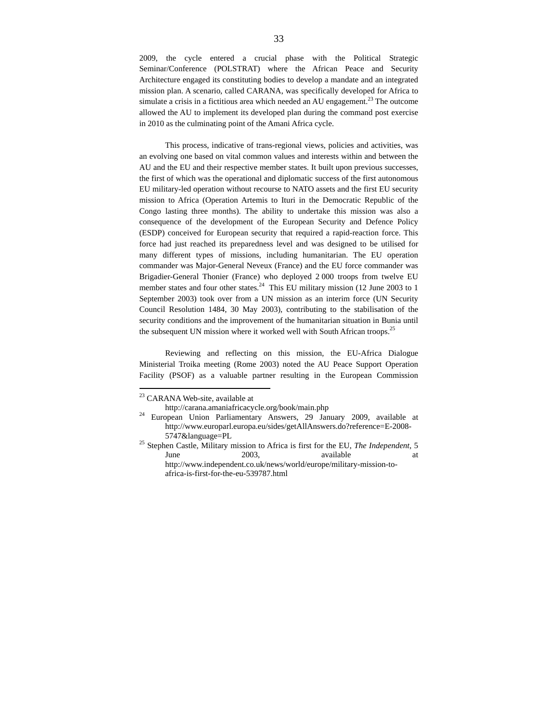2009, the cycle entered a crucial phase with the Political Strategic Seminar/Conference (POLSTRAT) where the African Peace and Security Architecture engaged its constituting bodies to develop a mandate and an integrated mission plan. A scenario, called CARANA, was specifically developed for Africa to simulate a crisis in a fictitious area which needed an AU engagement.<sup>23</sup> The outcome allowed the AU to implement its developed plan during the command post exercise in 2010 as the culminating point of the Amani Africa cycle.

This process, indicative of trans-regional views, policies and activities, was an evolving one based on vital common values and interests within and between the AU and the EU and their respective member states. It built upon previous successes, the first of which was the operational and diplomatic success of the first autonomous EU military-led operation without recourse to NATO assets and the first EU security mission to Africa (Operation Artemis to Ituri in the Democratic Republic of the Congo lasting three months). The ability to undertake this mission was also a consequence of the development of the European Security and Defence Policy (ESDP) conceived for European security that required a rapid-reaction force. This force had just reached its preparedness level and was designed to be utilised for many different types of missions, including humanitarian. The EU operation commander was Major-General Neveux (France) and the EU force commander was Brigadier-General Thonier (France) who deployed 2 000 troops from twelve EU member states and four other states.<sup>24</sup> This EU military mission (12 June 2003 to 1) September 2003) took over from a UN mission as an interim force (UN Security Council Resolution 1484, 30 May 2003), contributing to the stabilisation of the security conditions and the improvement of the humanitarian situation in Bunia until the subsequent UN mission where it worked well with South African troops.<sup>25</sup>

Reviewing and reflecting on this mission, the EU-Africa Dialogue Ministerial Troika meeting (Rome 2003) noted the AU Peace Support Operation Facility (PSOF) as a valuable partner resulting in the European Commission

<sup>&</sup>lt;sup>23</sup> CARANA Web-site, available at

http://carana.amaniafricacycle.org/book/main.php

<sup>&</sup>lt;sup>24</sup> European Union Parliamentary Answers, 29 January 2009, available at http://www.europarl.europa.eu/sides/getAllAnswers.do?reference=E-2008- 5747&language=PL

<sup>25</sup> Stephen Castle, Military mission to Africa is first for the EU, *The Independent*, 5 June 2003, available at http://www.independent.co.uk/news/world/europe/military-mission-toafrica-is-first-for-the-eu-539787.html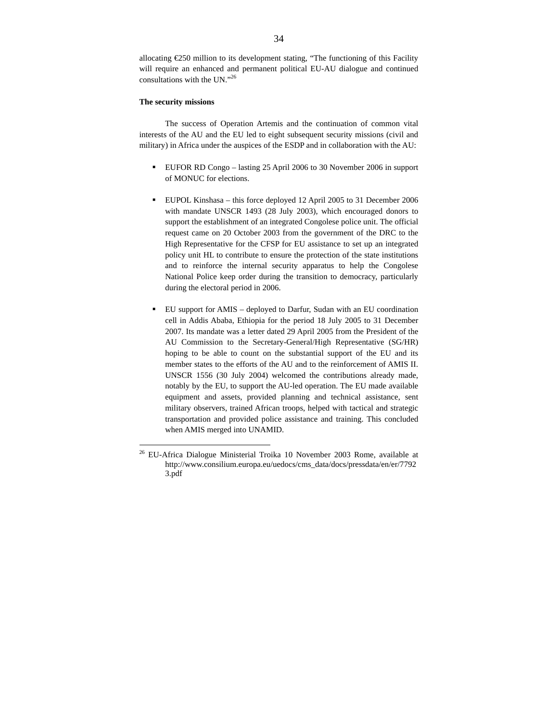allocating  $\epsilon$ 250 million to its development stating, "The functioning of this Facility will require an enhanced and permanent political EU-AU dialogue and continued consultations with the UN."<sup>26</sup>

## **The security missions**

 $\overline{a}$ 

The success of Operation Artemis and the continuation of common vital interests of the AU and the EU led to eight subsequent security missions (civil and military) in Africa under the auspices of the ESDP and in collaboration with the AU:

- EUFOR RD Congo lasting 25 April 2006 to 30 November 2006 in support of MONUC for elections.
- EUPOL Kinshasa this force deployed 12 April 2005 to 31 December 2006 with mandate UNSCR 1493 (28 July 2003), which encouraged donors to support the establishment of an integrated Congolese police unit. The official request came on 20 October 2003 from the government of the DRC to the High Representative for the CFSP for EU assistance to set up an integrated policy unit HL to contribute to ensure the protection of the state institutions and to reinforce the internal security apparatus to help the Congolese National Police keep order during the transition to democracy, particularly during the electoral period in 2006.
- EU support for AMIS deployed to Darfur, Sudan with an EU coordination cell in Addis Ababa, Ethiopia for the period 18 July 2005 to 31 December 2007. Its mandate was a letter dated 29 April 2005 from the President of the AU Commission to the Secretary-General/High Representative (SG/HR) hoping to be able to count on the substantial support of the EU and its member states to the efforts of the AU and to the reinforcement of AMIS II. UNSCR 1556 (30 July 2004) welcomed the contributions already made, notably by the EU, to support the AU-led operation. The EU made available equipment and assets, provided planning and technical assistance, sent military observers, trained African troops, helped with tactical and strategic transportation and provided police assistance and training. This concluded when AMIS merged into UNAMID.

<sup>&</sup>lt;sup>26</sup> EU-Africa Dialogue Ministerial Troika 10 November 2003 Rome, available at http://www.consilium.europa.eu/uedocs/cms\_data/docs/pressdata/en/er/7792 3.pdf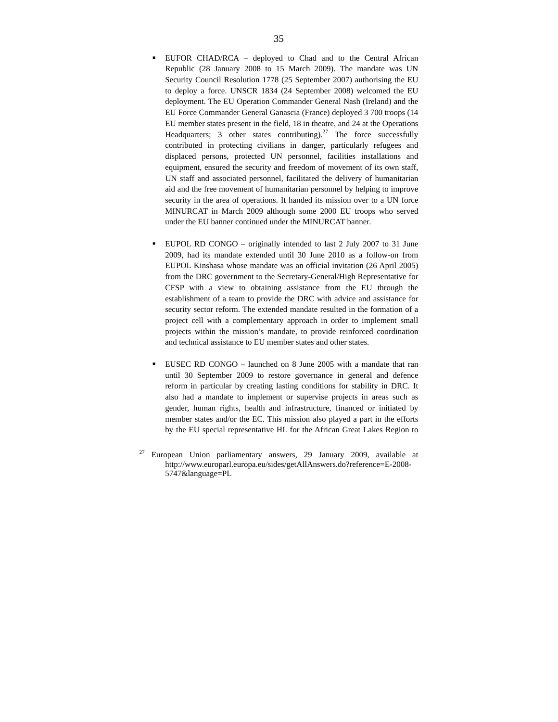- EUFOR CHAD/RCA deployed to Chad and to the Central African Republic (28 January 2008 to 15 March 2009). The mandate was UN Security Council Resolution 1778 (25 September 2007) authorising the EU to deploy a force. UNSCR 1834 (24 September 2008) welcomed the EU deployment. The EU Operation Commander General Nash (Ireland) and the EU Force Commander General Ganascia (France) deployed 3 700 troops (14 EU member states present in the field, 18 in theatre, and 24 at the Operations Headquarters; 3 other states contributing). $27$  The force successfully contributed in protecting civilians in danger, particularly refugees and displaced persons, protected UN personnel, facilities installations and equipment, ensured the security and freedom of movement of its own staff, UN staff and associated personnel, facilitated the delivery of humanitarian aid and the free movement of humanitarian personnel by helping to improve security in the area of operations. It handed its mission over to a UN force MINURCAT in March 2009 although some 2000 EU troops who served under the EU banner continued under the MINURCAT banner.
- EUPOL RD CONGO originally intended to last 2 July 2007 to 31 June 2009, had its mandate extended until 30 June 2010 as a follow-on from EUPOL Kinshasa whose mandate was an official invitation (26 April 2005) from the DRC government to the Secretary-General/High Representative for CFSP with a view to obtaining assistance from the EU through the establishment of a team to provide the DRC with advice and assistance for security sector reform. The extended mandate resulted in the formation of a project cell with a complementary approach in order to implement small projects within the mission's mandate, to provide reinforced coordination and technical assistance to EU member states and other states.
- EUSEC RD CONGO launched on 8 June 2005 with a mandate that ran until 30 September 2009 to restore governance in general and defence reform in particular by creating lasting conditions for stability in DRC. It also had a mandate to implement or supervise projects in areas such as gender, human rights, health and infrastructure, financed or initiated by member states and/or the EC. This mission also played a part in the efforts by the EU special representative HL for the African Great Lakes Region to

 $27\,$ <sup>27</sup> European Union parliamentary answers, 29 January 2009, available at http://www.europarl.europa.eu/sides/getAllAnswers.do?reference=E-2008- 5747&language=PL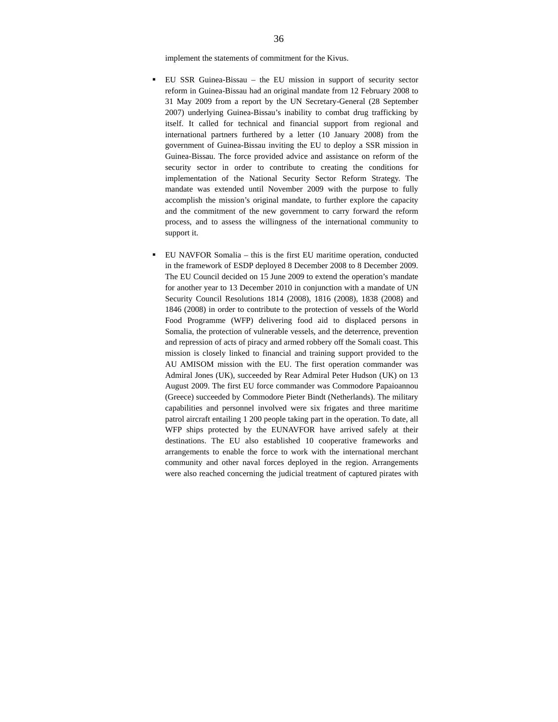implement the statements of commitment for the Kivus.

- EU SSR Guinea-Bissau the EU mission in support of security sector reform in Guinea-Bissau had an original mandate from 12 February 2008 to 31 May 2009 from a report by the UN Secretary-General (28 September 2007) underlying Guinea-Bissau's inability to combat drug trafficking by itself. It called for technical and financial support from regional and international partners furthered by a letter (10 January 2008) from the government of Guinea-Bissau inviting the EU to deploy a SSR mission in Guinea-Bissau. The force provided advice and assistance on reform of the security sector in order to contribute to creating the conditions for implementation of the National Security Sector Reform Strategy. The mandate was extended until November 2009 with the purpose to fully accomplish the mission's original mandate, to further explore the capacity and the commitment of the new government to carry forward the reform process, and to assess the willingness of the international community to support it.
- EU NAVFOR Somalia this is the first EU maritime operation, conducted in the framework of ESDP deployed 8 December 2008 to 8 December 2009. The EU Council decided on 15 June 2009 to extend the operation's mandate for another year to 13 December 2010 in conjunction with a mandate of UN Security Council Resolutions 1814 (2008), 1816 (2008), 1838 (2008) and 1846 (2008) in order to contribute to the protection of vessels of the World Food Programme (WFP) delivering food aid to displaced persons in Somalia, the protection of vulnerable vessels, and the deterrence, prevention and repression of acts of piracy and armed robbery off the Somali coast. This mission is closely linked to financial and training support provided to the AU AMISOM mission with the EU. The first operation commander was Admiral Jones (UK), succeeded by Rear Admiral Peter Hudson (UK) on 13 August 2009. The first EU force commander was Commodore Papaioannou (Greece) succeeded by Commodore Pieter Bindt (Netherlands). The military capabilities and personnel involved were six frigates and three maritime patrol aircraft entailing 1 200 people taking part in the operation. To date, all WFP ships protected by the EUNAVFOR have arrived safely at their destinations. The EU also established 10 cooperative frameworks and arrangements to enable the force to work with the international merchant community and other naval forces deployed in the region. Arrangements were also reached concerning the judicial treatment of captured pirates with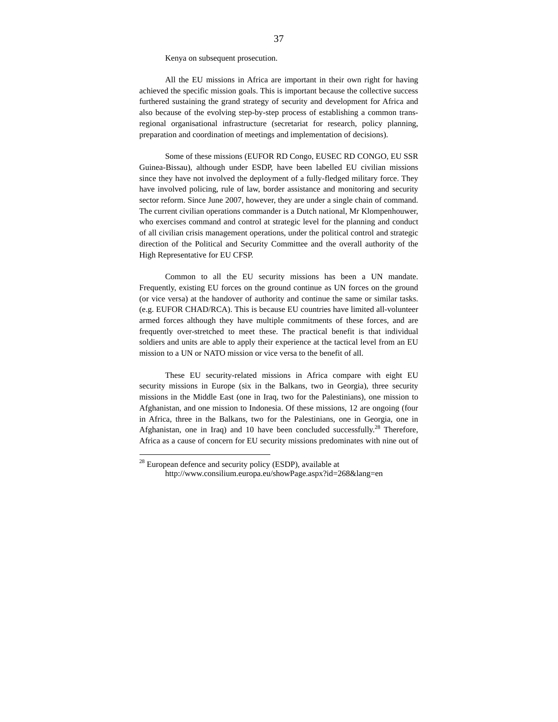Kenya on subsequent prosecution.

All the EU missions in Africa are important in their own right for having achieved the specific mission goals. This is important because the collective success furthered sustaining the grand strategy of security and development for Africa and also because of the evolving step-by-step process of establishing a common transregional organisational infrastructure (secretariat for research, policy planning, preparation and coordination of meetings and implementation of decisions).

Some of these missions (EUFOR RD Congo, EUSEC RD CONGO, EU SSR Guinea-Bissau), although under ESDP, have been labelled EU civilian missions since they have not involved the deployment of a fully-fledged military force. They have involved policing, rule of law, border assistance and monitoring and security sector reform. Since June 2007, however, they are under a single chain of command. The current civilian operations commander is a Dutch national, Mr Klompenhouwer, who exercises command and control at strategic level for the planning and conduct of all civilian crisis management operations, under the political control and strategic direction of the Political and Security Committee and the overall authority of the High Representative for EU CFSP.

Common to all the EU security missions has been a UN mandate. Frequently, existing EU forces on the ground continue as UN forces on the ground (or vice versa) at the handover of authority and continue the same or similar tasks. (e.g. EUFOR CHAD/RCA). This is because EU countries have limited all-volunteer armed forces although they have multiple commitments of these forces, and are frequently over-stretched to meet these. The practical benefit is that individual soldiers and units are able to apply their experience at the tactical level from an EU mission to a UN or NATO mission or vice versa to the benefit of all.

These EU security-related missions in Africa compare with eight EU security missions in Europe (six in the Balkans, two in Georgia), three security missions in the Middle East (one in Iraq, two for the Palestinians), one mission to Afghanistan, and one mission to Indonesia. Of these missions, 12 are ongoing (four in Africa, three in the Balkans, two for the Palestinians, one in Georgia, one in Afghanistan, one in Iraq) and 10 have been concluded successfully.<sup>28</sup> Therefore, Africa as a cause of concern for EU security missions predominates with nine out of

 $28$  European defence and security policy (ESDP), available at http://www.consilium.europa.eu/showPage.aspx?id=268&lang=en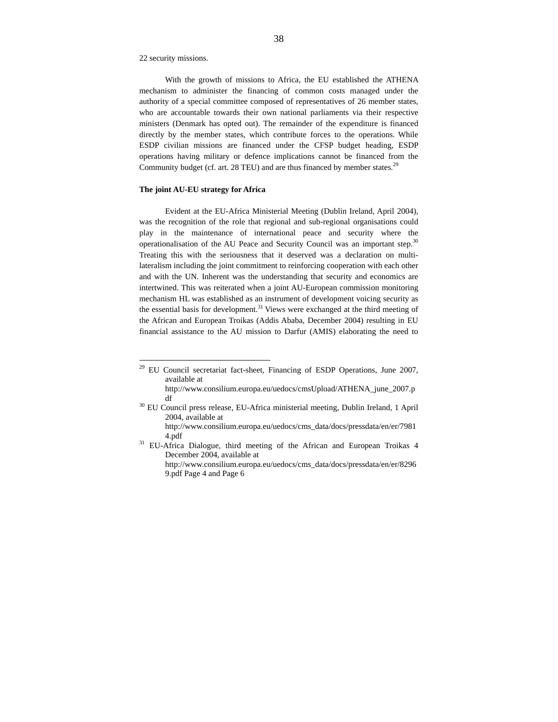22 security missions.

 $\overline{a}$ 

With the growth of missions to Africa, the EU established the ATHENA mechanism to administer the financing of common costs managed under the authority of a special committee composed of representatives of 26 member states, who are accountable towards their own national parliaments via their respective ministers (Denmark has opted out). The remainder of the expenditure is financed directly by the member states, which contribute forces to the operations. While ESDP civilian missions are financed under the CFSP budget heading, ESDP operations having military or defence implications cannot be financed from the Community budget (cf. art. 28 TEU) and are thus financed by member states.<sup>29</sup>

## **The joint AU-EU strategy for Africa**

Evident at the EU-Africa Ministerial Meeting (Dublin Ireland, April 2004), was the recognition of the role that regional and sub-regional organisations could play in the maintenance of international peace and security where the operationalisation of the AU Peace and Security Council was an important step.<sup>30</sup> Treating this with the seriousness that it deserved was a declaration on multilateralism including the joint commitment to reinforcing cooperation with each other and with the UN. Inherent was the understanding that security and economics are intertwined. This was reiterated when a joint AU-European commission monitoring mechanism HL was established as an instrument of development voicing security as the essential basis for development.<sup>31</sup> Views were exchanged at the third meeting of the African and European Troikas (Addis Ababa, December 2004) resulting in EU financial assistance to the AU mission to Darfur (AMIS) elaborating the need to

 $29$  EU Council secretariat fact-sheet, Financing of ESDP Operations, June 2007, available at

http://www.consilium.europa.eu/uedocs/cmsUpload/ATHENA\_june\_2007.p df

<sup>&</sup>lt;sup>30</sup> EU Council press release, EU-Africa ministerial meeting, Dublin Ireland, 1 April 2004, available at http://www.consilium.europa.eu/uedocs/cms\_data/docs/pressdata/en/er/7981

<sup>4.</sup>pdf

<sup>&</sup>lt;sup>31</sup> EU-Africa Dialogue, third meeting of the African and European Troikas 4 December 2004, available at

http://www.consilium.europa.eu/uedocs/cms\_data/docs/pressdata/en/er/8296 9.pdf Page 4 and Page 6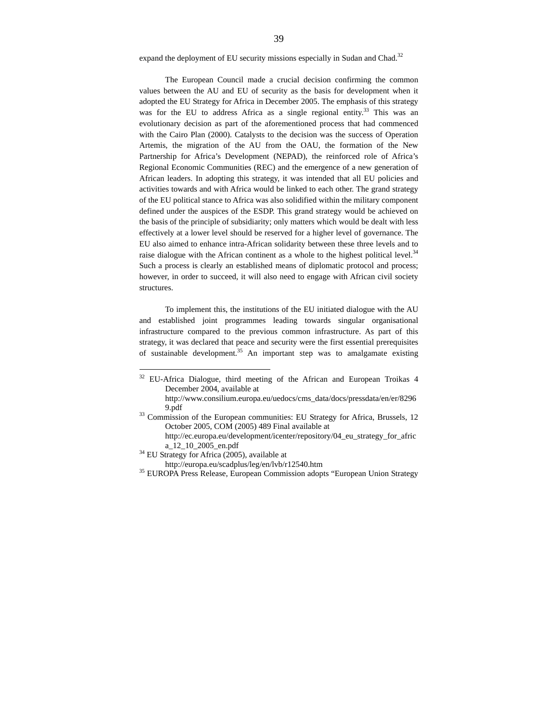expand the deployment of EU security missions especially in Sudan and Chad.<sup>32</sup>

The European Council made a crucial decision confirming the common values between the AU and EU of security as the basis for development when it adopted the EU Strategy for Africa in December 2005. The emphasis of this strategy was for the EU to address Africa as a single regional entity.<sup>33</sup> This was an evolutionary decision as part of the aforementioned process that had commenced with the Cairo Plan (2000). Catalysts to the decision was the success of Operation Artemis, the migration of the AU from the OAU, the formation of the New Partnership for Africa's Development (NEPAD), the reinforced role of Africa's Regional Economic Communities (REC) and the emergence of a new generation of African leaders. In adopting this strategy, it was intended that all EU policies and activities towards and with Africa would be linked to each other. The grand strategy of the EU political stance to Africa was also solidified within the military component defined under the auspices of the ESDP. This grand strategy would be achieved on the basis of the principle of subsidiarity; only matters which would be dealt with less effectively at a lower level should be reserved for a higher level of governance. The EU also aimed to enhance intra-African solidarity between these three levels and to raise dialogue with the African continent as a whole to the highest political level.<sup>34</sup> Such a process is clearly an established means of diplomatic protocol and process; however, in order to succeed, it will also need to engage with African civil society structures.

To implement this, the institutions of the EU initiated dialogue with the AU and established joint programmes leading towards singular organisational infrastructure compared to the previous common infrastructure. As part of this strategy, it was declared that peace and security were the first essential prerequisites of sustainable development.<sup>35</sup> An important step was to amalgamate existing

 $32$  EU-Africa Dialogue, third meeting of the African and European Troikas 4 December 2004, available at

http://www.consilium.europa.eu/uedocs/cms\_data/docs/pressdata/en/er/8296 9.pdf

<sup>&</sup>lt;sup>33</sup> Commission of the European communities: EU Strategy for Africa, Brussels, 12 October 2005, COM (2005) 489 Final available at http://ec.europa.eu/development/icenter/repository/04\_eu\_strategy\_for\_afric

a\_12\_10\_2005\_en.pdf

<sup>&</sup>lt;sup>34</sup> EU Strategy for Africa (2005), available at

http://europa.eu/scadplus/leg/en/lvb/r12540.htm

<sup>&</sup>lt;sup>35</sup> EUROPA Press Release, European Commission adopts "European Union Strategy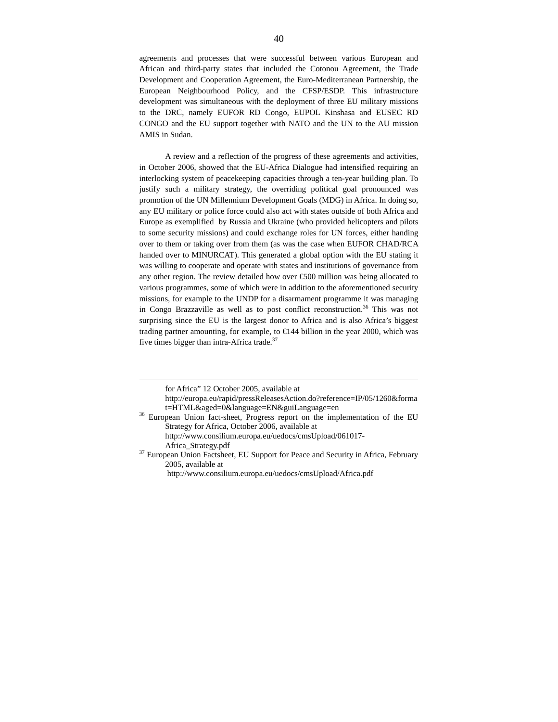agreements and processes that were successful between various European and African and third-party states that included the Cotonou Agreement, the Trade Development and Cooperation Agreement, the Euro-Mediterranean Partnership, the European Neighbourhood Policy, and the CFSP/ESDP. This infrastructure development was simultaneous with the deployment of three EU military missions to the DRC, namely EUFOR RD Congo, EUPOL Kinshasa and EUSEC RD CONGO and the EU support together with NATO and the UN to the AU mission AMIS in Sudan.

A review and a reflection of the progress of these agreements and activities, in October 2006, showed that the EU-Africa Dialogue had intensified requiring an interlocking system of peacekeeping capacities through a ten-year building plan. To justify such a military strategy, the overriding political goal pronounced was promotion of the UN Millennium Development Goals (MDG) in Africa. In doing so, any EU military or police force could also act with states outside of both Africa and Europe as exemplified by Russia and Ukraine (who provided helicopters and pilots to some security missions) and could exchange roles for UN forces, either handing over to them or taking over from them (as was the case when EUFOR CHAD/RCA handed over to MINURCAT). This generated a global option with the EU stating it was willing to cooperate and operate with states and institutions of governance from any other region. The review detailed how over €500 million was being allocated to various programmes, some of which were in addition to the aforementioned security missions, for example to the UNDP for a disarmament programme it was managing in Congo Brazzaville as well as to post conflict reconstruction.<sup>36</sup> This was not surprising since the EU is the largest donor to Africa and is also Africa's biggest trading partner amounting, for example, to €144 bilion in the year 2000, which was five times bigger than intra-Africa trade. $37$ 

for Africa" 12 October 2005, available at

http://europa.eu/rapid/pressReleasesAction.do?reference=IP/05/1260&forma t=HTML&aged=0&language=EN&guiLanguage=en

<sup>&</sup>lt;sup>36</sup> European Union fact-sheet, Progress report on the implementation of the EU Strategy for Africa, October 2006, available at

http://www.consilium.europa.eu/uedocs/cmsUpload/061017- Africa\_Strategy.pdf

<sup>&</sup>lt;sup>37</sup> European Union Factsheet, EU Support for Peace and Security in Africa, February 2005, available at

http://www.consilium.europa.eu/uedocs/cmsUpload/Africa.pdf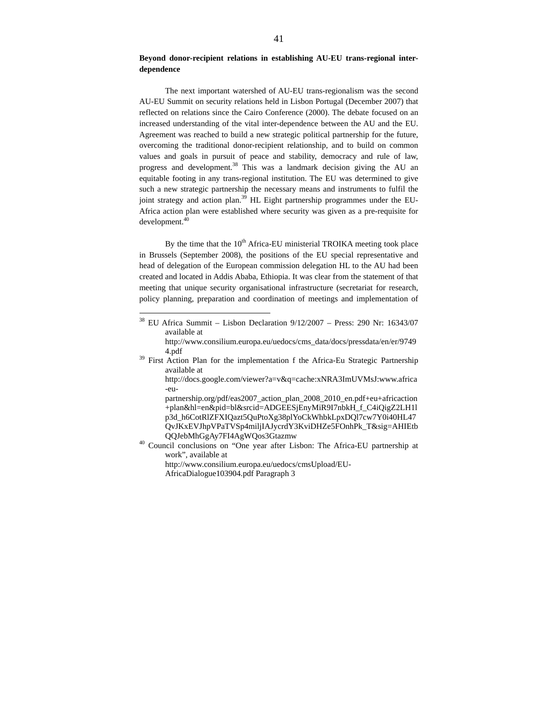## **Beyond donor-recipient relations in establishing AU-EU trans-regional interdependence**

The next important watershed of AU-EU trans-regionalism was the second AU-EU Summit on security relations held in Lisbon Portugal (December 2007) that reflected on relations since the Cairo Conference (2000). The debate focused on an increased understanding of the vital inter-dependence between the AU and the EU. Agreement was reached to build a new strategic political partnership for the future, overcoming the traditional donor-recipient relationship, and to build on common values and goals in pursuit of peace and stability, democracy and rule of law, progress and development.<sup>38</sup> This was a landmark decision giving the AU an equitable footing in any trans-regional institution. The EU was determined to give such a new strategic partnership the necessary means and instruments to fulfil the joint strategy and action plan.<sup>39</sup> HL Eight partnership programmes under the EU-Africa action plan were established where security was given as a pre-requisite for development.<sup>40</sup>

By the time that the 10<sup>th</sup> Africa-EU ministerial TROIKA meeting took place in Brussels (September 2008), the positions of the EU special representative and head of delegation of the European commission delegation HL to the AU had been created and located in Addis Ababa, Ethiopia. It was clear from the statement of that meeting that unique security organisational infrastructure (secretariat for research, policy planning, preparation and coordination of meetings and implementation of

<sup>38</sup> EU Africa Summit – Lisbon Declaration 9/12/2007 – Press: 290 Nr: 16343/07 available at

http://www.consilium.europa.eu/uedocs/cms\_data/docs/pressdata/en/er/9749 4.pdf

<sup>&</sup>lt;sup>39</sup> First Action Plan for the implementation f the Africa-Eu Strategic Partnership available at

http://docs.google.com/viewer?a=v&q=cache:xNRA3ImUVMsJ:www.africa -eu-

partnership.org/pdf/eas2007\_action\_plan\_2008\_2010\_en.pdf+eu+africaction +plan&hl=en&pid=bl&srcid=ADGEESjEnyMiR9I7nbkH\_f\_C4iQigZ2LH1l p3d\_h6CotRlZFXIQazt5QuPtoXg38plYoCkWhbkLpxDQl7cw7Y0i40HL47 QvJKxEVJhpVPaTVSp4miljIAJycrdY3KviDHZe5FOnhPk\_T&sig=AHIEtb QQJebMhGgAy7FI4AgWQos3Gtazmw

<sup>40</sup> Council conclusions on "One year after Lisbon: The Africa-EU partnership at work", available at

http://www.consilium.europa.eu/uedocs/cmsUpload/EU-

AfricaDialogue103904.pdf Paragraph 3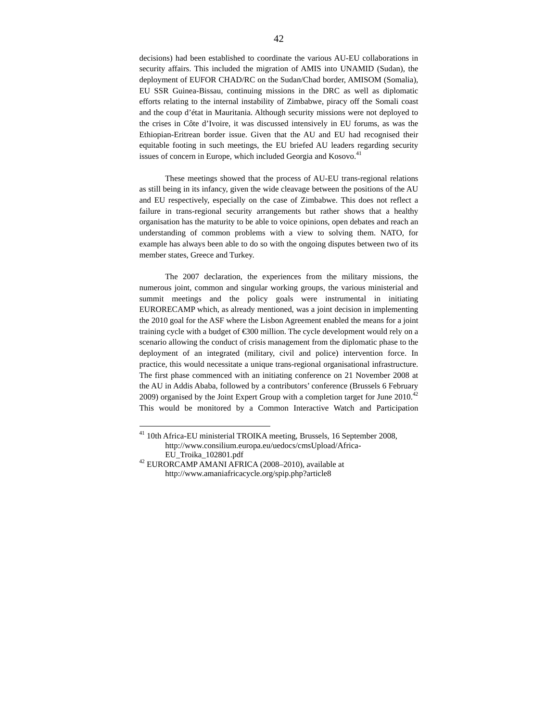decisions) had been established to coordinate the various AU-EU collaborations in security affairs. This included the migration of AMIS into UNAMID (Sudan), the deployment of EUFOR CHAD/RC on the Sudan/Chad border, AMISOM (Somalia), EU SSR Guinea-Bissau, continuing missions in the DRC as well as diplomatic efforts relating to the internal instability of Zimbabwe, piracy off the Somali coast and the coup d'état in Mauritania. Although security missions were not deployed to the crises in Côte d'Ivoire, it was discussed intensively in EU forums, as was the Ethiopian-Eritrean border issue. Given that the AU and EU had recognised their equitable footing in such meetings, the EU briefed AU leaders regarding security issues of concern in Europe, which included Georgia and Kosovo.<sup>41</sup>

These meetings showed that the process of AU-EU trans-regional relations as still being in its infancy, given the wide cleavage between the positions of the AU and EU respectively, especially on the case of Zimbabwe. This does not reflect a failure in trans-regional security arrangements but rather shows that a healthy organisation has the maturity to be able to voice opinions, open debates and reach an understanding of common problems with a view to solving them. NATO, for example has always been able to do so with the ongoing disputes between two of its member states, Greece and Turkey.

The 2007 declaration, the experiences from the military missions, the numerous joint, common and singular working groups, the various ministerial and summit meetings and the policy goals were instrumental in initiating EURORECAMP which, as already mentioned, was a joint decision in implementing the 2010 goal for the ASF where the Lisbon Agreement enabled the means for a joint training cycle with a budget of  $\epsilon$ 300 million. The cycle development would rely on a scenario allowing the conduct of crisis management from the diplomatic phase to the deployment of an integrated (military, civil and police) intervention force. In practice, this would necessitate a unique trans-regional organisational infrastructure. The first phase commenced with an initiating conference on 21 November 2008 at the AU in Addis Ababa, followed by a contributors' conference (Brussels 6 February 2009) organised by the Joint Expert Group with a completion target for June  $2010^{42}$ This would be monitored by a Common Interactive Watch and Participation

<sup>&</sup>lt;sup>41</sup> 10th Africa-EU ministerial TROIKA meeting, Brussels, 16 September 2008, http://www.consilium.europa.eu/uedocs/cmsUpload/Africa-EU\_Troika\_102801.pdf

<sup>42</sup> EURORCAMP AMANI AFRICA (2008–2010), available at http://www.amaniafricacycle.org/spip.php?article8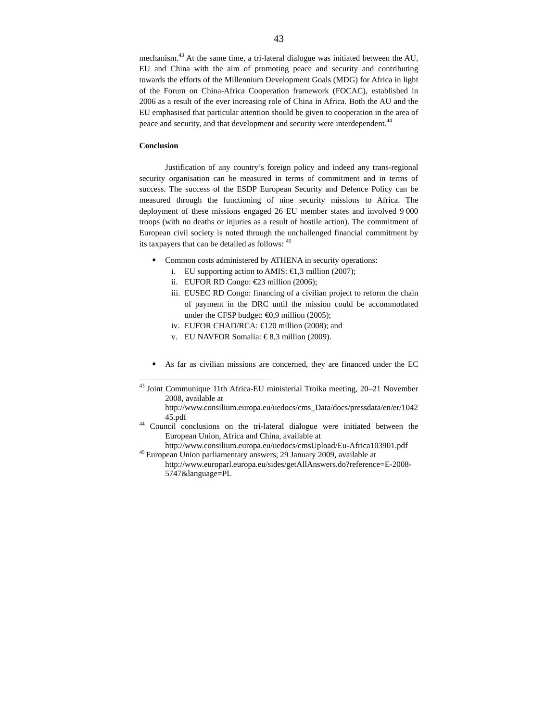mechanism.<sup>43</sup> At the same time, a tri-lateral dialogue was initiated between the AU, EU and China with the aim of promoting peace and security and contributing towards the efforts of the Millennium Development Goals (MDG) for Africa in light of the Forum on China-Africa Cooperation framework (FOCAC), established in 2006 as a result of the ever increasing role of China in Africa. Both the AU and the EU emphasised that particular attention should be given to cooperation in the area of peace and security, and that development and security were interdependent.<sup>44</sup>

## **Conclusion**

 $\overline{a}$ 

Justification of any country's foreign policy and indeed any trans-regional security organisation can be measured in terms of commitment and in terms of success. The success of the ESDP European Security and Defence Policy can be measured through the functioning of nine security missions to Africa. The deployment of these missions engaged 26 EU member states and involved 9 000 troops (with no deaths or injuries as a result of hostile action). The commitment of European civil society is noted through the unchallenged financial commitment by its taxpayers that can be detailed as follows:  $45$ 

- Common costs administered by ATHENA in security operations:
	- i. EU supporting action to AMIS:  $\epsilon$ 1,3 million (2007);
	- ii. EUFOR RD Congo: €23 million (2006);
	- iii. EUSEC RD Congo: financing of a civilian project to reform the chain of payment in the DRC until the mission could be accommodated under the CFSP budget:  $\epsilon 0.9$  million (2005);
	- iv. EUFOR CHAD/RCA: €120 million (2008); and
	- v. EU NAVFOR Somalia: € 8,3 million (2009).
- As far as civilian missions are concerned, they are financed under the EC

<sup>&</sup>lt;sup>43</sup> Joint Communique 11th Africa-EU ministerial Troika meeting, 20–21 November 2008, available at

http://www.consilium.europa.eu/uedocs/cms\_Data/docs/pressdata/en/er/1042 45.pdf

<sup>44</sup> Council conclusions on the tri-lateral dialogue were initiated between the European Union, Africa and China, available at

http://www.consilium.europa.eu/uedocs/cmsUpload/Eu-Africa103901.pdf <sup>45</sup>European Union parliamentary answers, 29 January 2009, available at

http://www.europarl.europa.eu/sides/getAllAnswers.do?reference=E-2008- 5747&language=PL